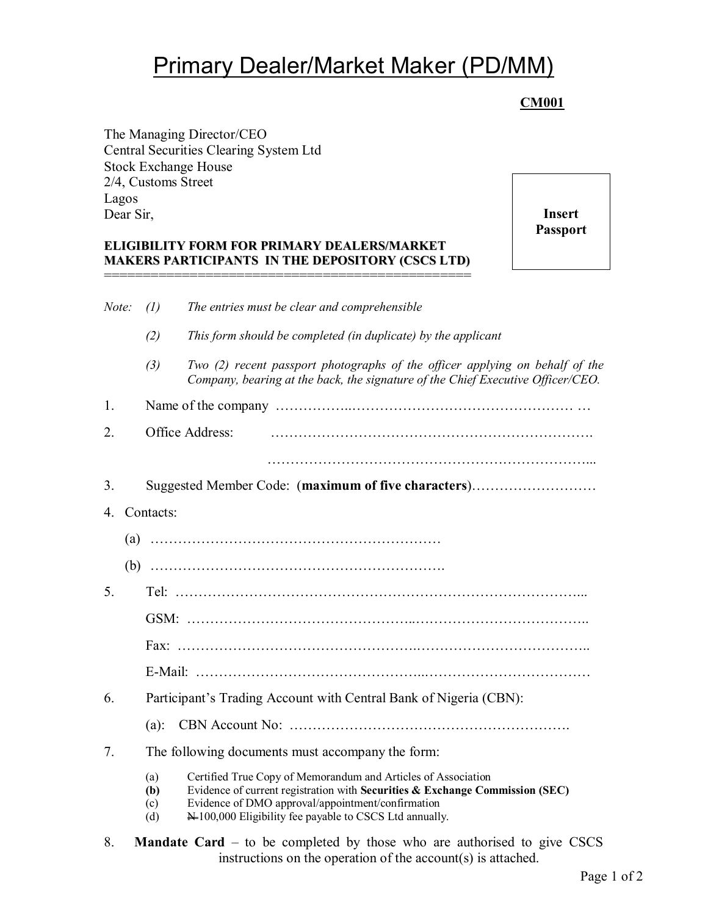# Primary Dealer/Market Maker (PD/MM)

## **CM001**

The Managing Director/CEO Central Securities Clearing System Ltd Stock Exchange House 2/4, Customs Street Lagos Dear Sir,

#### **ELIGIBILITY FORM FOR PRIMARY DEALERS/MARKET MAKERS PARTICIPANTS IN THE DEPOSITORY (CSCS LTD)** ===============================================

**Insert Passport**

| Note:          | (1)                                                               | The entries must be clear and comprehensible                                                                                                                                                                                                                           |  |
|----------------|-------------------------------------------------------------------|------------------------------------------------------------------------------------------------------------------------------------------------------------------------------------------------------------------------------------------------------------------------|--|
|                | (2)                                                               | This form should be completed (in duplicate) by the applicant                                                                                                                                                                                                          |  |
|                | (3)                                                               | Two (2) recent passport photographs of the officer applying on behalf of the<br>Company, bearing at the back, the signature of the Chief Executive Officer/CEO.                                                                                                        |  |
| 1.             |                                                                   |                                                                                                                                                                                                                                                                        |  |
| 2.             | Office Address:                                                   |                                                                                                                                                                                                                                                                        |  |
|                |                                                                   |                                                                                                                                                                                                                                                                        |  |
| 3.             | Suggested Member Code: (maximum of five characters)               |                                                                                                                                                                                                                                                                        |  |
| 4.             | Contacts:                                                         |                                                                                                                                                                                                                                                                        |  |
|                |                                                                   |                                                                                                                                                                                                                                                                        |  |
|                |                                                                   |                                                                                                                                                                                                                                                                        |  |
| 5.             |                                                                   |                                                                                                                                                                                                                                                                        |  |
|                |                                                                   |                                                                                                                                                                                                                                                                        |  |
|                |                                                                   |                                                                                                                                                                                                                                                                        |  |
|                |                                                                   |                                                                                                                                                                                                                                                                        |  |
| 6.             | Participant's Trading Account with Central Bank of Nigeria (CBN): |                                                                                                                                                                                                                                                                        |  |
|                |                                                                   |                                                                                                                                                                                                                                                                        |  |
| 7 <sub>1</sub> |                                                                   | The following documents must accompany the form:                                                                                                                                                                                                                       |  |
|                | (a)<br>(b)<br>(c)<br>(d)                                          | Certified True Copy of Memorandum and Articles of Association<br>Evidence of current registration with Securities & Exchange Commission (SEC)<br>Evidence of DMO approval/appointment/confirmation<br>$\bigstar$ 100,000 Eligibility fee payable to CSCS Ltd annually. |  |

8. **Mandate Card** – to be completed by those who are authorised to give CSCS instructions on the operation of the account(s) is attached.